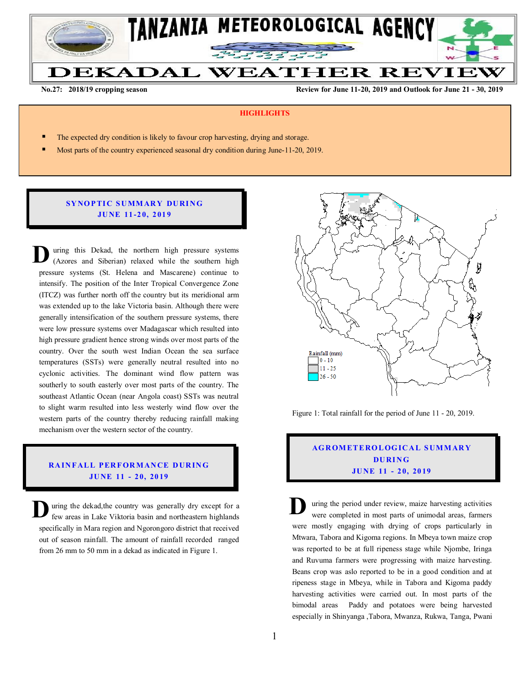

**No.27: 2018/19 cropping season Review for June 11-20, 2019 and Outlook for June 21 - 30, 2019** 

#### **HIGHLIGHTS**

- The expected dry condition is likely to favour crop harvesting, drying and storage.
- Most parts of the country experienced seasonal dry condition during June-11-20, 2019.

#### **SYNOPTIC SUMMARY DURING JU NE 11 -2 0, 2 01 9**

uring this Dekad, the northern high pressure systems (Azores and Siberian) relaxed while the southern high pressure systems (St. Helena and Mascarene) continue to intensify. The position of the Inter Tropical Convergence Zone (ITCZ) was further north off the country but its meridional arm was extended up to the lake Victoria basin. Although there were generally intensification of the southern pressure systems, there were low pressure systems over Madagascar which resulted into high pressure gradient hence strong winds over most parts of the country. Over the south west Indian Ocean the sea surface temperatures (SSTs) were generally neutral resulted into no cyclonic activities. The dominant wind flow pattern was southerly to south easterly over most parts of the country. The southeast Atlantic Ocean (near Angola coast) SSTs was neutral to slight warm resulted into less westerly wind flow over the western parts of the country thereby reducing rainfall making mechanism over the western sector of the country. **D**

#### **RAINFALL PERFORMANCE DURING JU NE 11 - 2 0, 20 19**

uring the dekad,the country was generally dry except for a **D** uring the dekad, the country was generally dry except for a few areas in Lake Viktoria basin and northeastern highlands specifically in Mara region and Ngorongoro district that received out of season rainfall. The amount of rainfall recorded ranged from 26 mm to 50 mm in a dekad as indicated in Figure 1.



Figure 1: Total rainfall for the period of June 11 - 20, 2019.

# **AG R OM ET E RO L OG IC A L S UM M AR Y DU RI N G JU NE 11 - 2 0, 20 19**

uring the period under review, maize harvesting activities were completed in most parts of unimodal areas, farmers were mostly engaging with drying of crops particularly in Mtwara, Tabora and Kigoma regions. In Mbeya town maize crop was reported to be at full ripeness stage while Njombe, Iringa and Ruvuma farmers were progressing with maize harvesting. Beans crop was aslo reported to be in a good condition and at ripeness stage in Mbeya, while in Tabora and Kigoma paddy harvesting activities were carried out. In most parts of the bimodal areas Paddy and potatoes were being harvested especially in Shinyanga ,Tabora, Mwanza, Rukwa, Tanga, Pwani